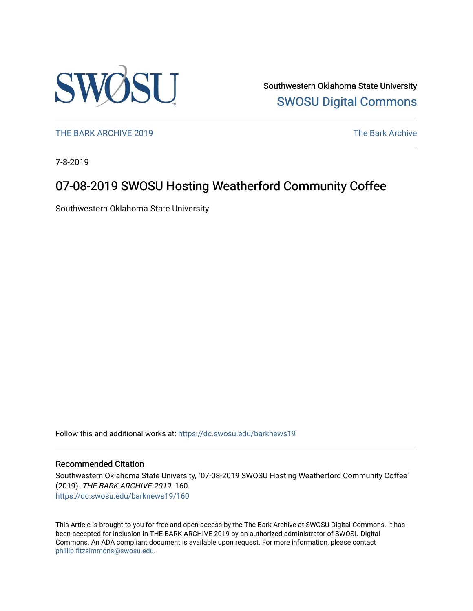

Southwestern Oklahoma State University [SWOSU Digital Commons](https://dc.swosu.edu/) 

[THE BARK ARCHIVE 2019](https://dc.swosu.edu/barknews19) The Bark Archive

7-8-2019

### 07-08-2019 SWOSU Hosting Weatherford Community Coffee

Southwestern Oklahoma State University

Follow this and additional works at: [https://dc.swosu.edu/barknews19](https://dc.swosu.edu/barknews19?utm_source=dc.swosu.edu%2Fbarknews19%2F160&utm_medium=PDF&utm_campaign=PDFCoverPages)

#### Recommended Citation

Southwestern Oklahoma State University, "07-08-2019 SWOSU Hosting Weatherford Community Coffee" (2019). THE BARK ARCHIVE 2019. 160. [https://dc.swosu.edu/barknews19/160](https://dc.swosu.edu/barknews19/160?utm_source=dc.swosu.edu%2Fbarknews19%2F160&utm_medium=PDF&utm_campaign=PDFCoverPages)

This Article is brought to you for free and open access by the The Bark Archive at SWOSU Digital Commons. It has been accepted for inclusion in THE BARK ARCHIVE 2019 by an authorized administrator of SWOSU Digital Commons. An ADA compliant document is available upon request. For more information, please contact [phillip.fitzsimmons@swosu.edu](mailto:phillip.fitzsimmons@swosu.edu).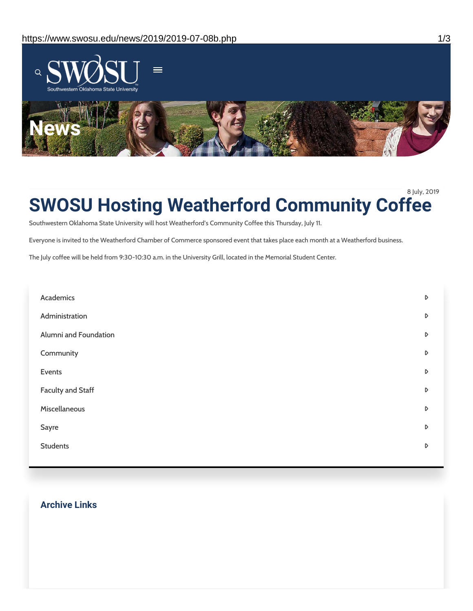

8 July, 2019

## **SWOSU Hosting Weatherford Community Coffee**

Southwestern Oklahoma State University will host Weatherford's Community Coffee this Thursday, July 11.

Everyone is invited to the Weatherford Chamber of Commerce sponsored event that takes place each month at a Weatherford business.

The July coffee will be held from 9:30-10:30 a.m. in the University Grill, located in the Memorial Student Center.

| Academics                | D                |
|--------------------------|------------------|
| Administration           | $\triangleright$ |
| Alumni and Foundation    | D                |
| Community                | D                |
| Events                   | D                |
| <b>Faculty and Staff</b> | D                |
| Miscellaneous            | D                |
| Sayre                    | D                |
| <b>Students</b>          | D                |

#### **Archive Links**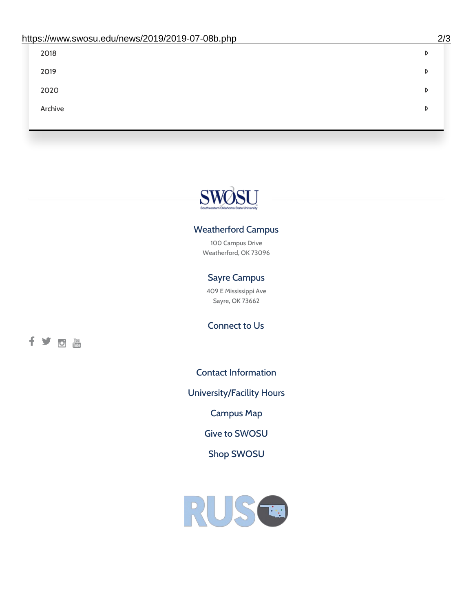| 2018    | D |
|---------|---|
| 2019    | D |
| 2020    | D |
| Archive | D |
|         |   |

# SWØSU

#### Weatherford Campus

100 Campus Drive Weatherford, OK 73096

#### Sayre Campus

409 E Mississippi Ave Sayre, OK 73662

fyom

Connect to Us

Contact [Information](https://www.swosu.edu/about/contact.php)

[University/Facility](https://www.swosu.edu/about/operating-hours.php) Hours

[Campus](https://map.concept3d.com/?id=768#!ct/10964,10214,10213,10212,10205,10204,10203,10202,10136,10129,10128,0,31226,10130,10201,10641,0) Map

Give to [SWOSU](https://standingfirmly.com/donate)

Shop [SWOSU](https://shopswosu.merchorders.com/)